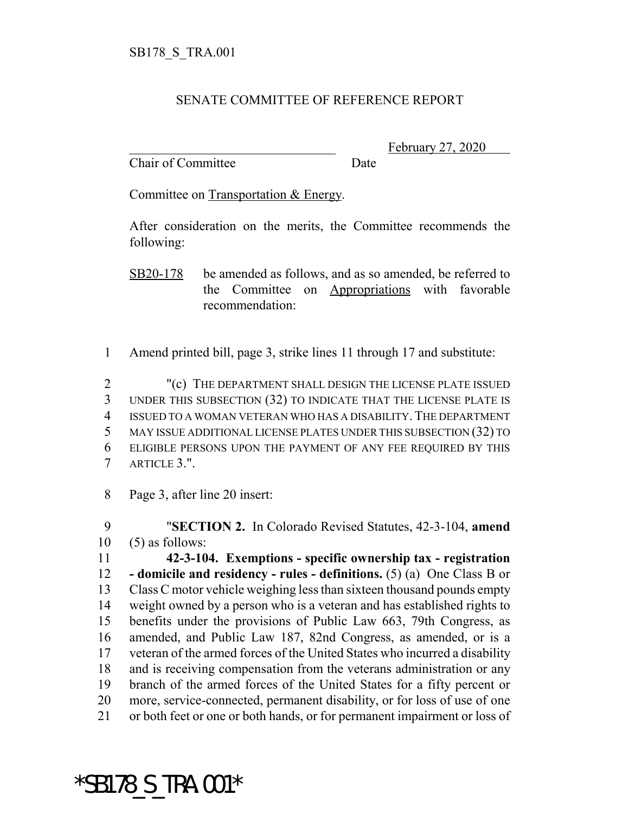## SENATE COMMITTEE OF REFERENCE REPORT

Chair of Committee Date

February 27, 2020

Committee on Transportation & Energy.

After consideration on the merits, the Committee recommends the following:

SB20-178 be amended as follows, and as so amended, be referred to the Committee on Appropriations with favorable recommendation:

Amend printed bill, page 3, strike lines 11 through 17 and substitute:

 "(c) THE DEPARTMENT SHALL DESIGN THE LICENSE PLATE ISSUED UNDER THIS SUBSECTION (32) TO INDICATE THAT THE LICENSE PLATE IS ISSUED TO A WOMAN VETERAN WHO HAS A DISABILITY.THE DEPARTMENT MAY ISSUE ADDITIONAL LICENSE PLATES UNDER THIS SUBSECTION (32) TO ELIGIBLE PERSONS UPON THE PAYMENT OF ANY FEE REQUIRED BY THIS ARTICLE 3.".

Page 3, after line 20 insert:

 "**SECTION 2.** In Colorado Revised Statutes, 42-3-104, **amend** (5) as follows:

 **42-3-104. Exemptions - specific ownership tax - registration - domicile and residency - rules - definitions.** (5) (a) One Class B or Class C motor vehicle weighing less than sixteen thousand pounds empty weight owned by a person who is a veteran and has established rights to benefits under the provisions of Public Law 663, 79th Congress, as amended, and Public Law 187, 82nd Congress, as amended, or is a veteran of the armed forces of the United States who incurred a disability and is receiving compensation from the veterans administration or any branch of the armed forces of the United States for a fifty percent or more, service-connected, permanent disability, or for loss of use of one or both feet or one or both hands, or for permanent impairment or loss of

\*SB178\_S\_TRA.001\*